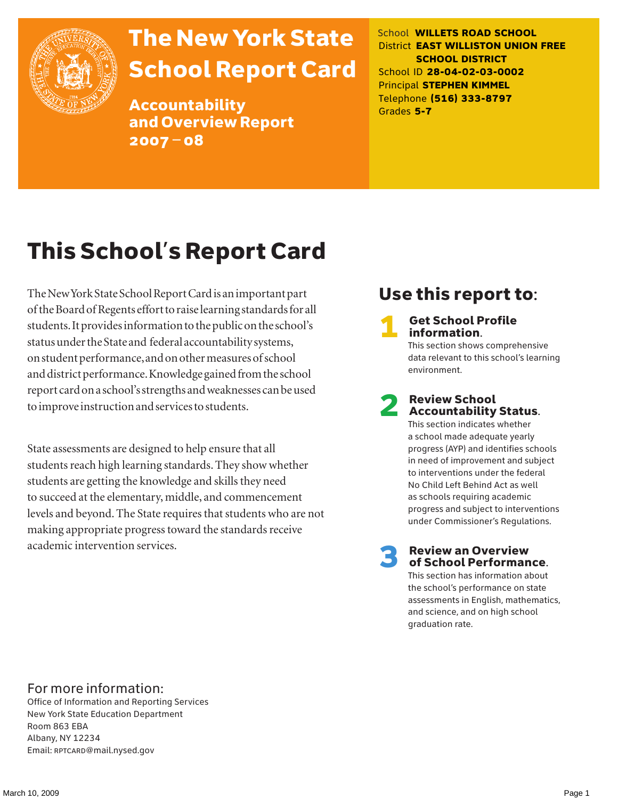

# The New York State School Report Card

Accountability and Overview Report 2007–08

School **WILLETS ROAD SCHOOL** District **EAST WILLISTON UNION FREE SCHOOL DISTRICT** School ID **28-04-02-03-0002** Principal **STEPHEN KIMMEL** Telephone **(516) 333-8797** Grades **5-7**

# This School's Report Card

The New York State School Report Card is an important part of the Board of Regents effort to raise learning standards for all students. It provides information to the public on the school's status under the State and federal accountability systems, on student performance, and on other measures of school and district performance. Knowledge gained from the school report card on a school's strengths and weaknesses can be used to improve instruction and services to students.

State assessments are designed to help ensure that all students reach high learning standards. They show whether students are getting the knowledge and skills they need to succeed at the elementary, middle, and commencement levels and beyond. The State requires that students who are not making appropriate progress toward the standards receive academic intervention services.

# Use this report to:

**Get School Profile** information.

This section shows comprehensive data relevant to this school's learning environment.

# 2 Review School Accountability Status.

This section indicates whether a school made adequate yearly progress (AYP) and identifies schools in need of improvement and subject to interventions under the federal No Child Left Behind Act as well as schools requiring academic progress and subject to interventions under Commissioner's Regulations.

**Review an Overview** of School Performance.

This section has information about the school's performance on state assessments in English, mathematics, and science, and on high school graduation rate.

### For more information:

Office of Information and Reporting Services New York State Education Department Room 863 EBA Albany, NY 12234 Email: RPTCARD@mail.nysed.gov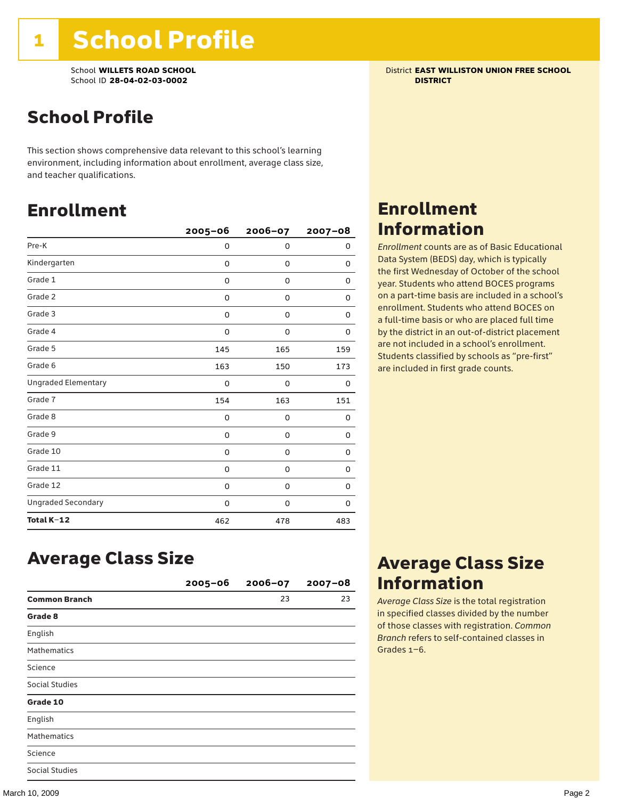School **WILLETS ROAD SCHOOL** District **EAST WILLISTON UNION FREE SCHOOL** School ID **28-04-02-03-0002 DISTRICT**

# School Profile

This section shows comprehensive data relevant to this school's learning environment, including information about enrollment, average class size, and teacher qualifications.

### Enrollment

|                            | $2005 - 06$ | 2006-07 | $2007 - 08$ |
|----------------------------|-------------|---------|-------------|
| Pre-K                      | 0           | 0       | 0           |
| Kindergarten               | 0           | 0       | 0           |
| Grade 1                    | 0           | 0       | 0           |
| Grade 2                    | 0           | 0       | 0           |
| Grade 3                    | 0           | 0       | 0           |
| Grade 4                    | 0           | 0       | 0           |
| Grade 5                    | 145         | 165     | 159         |
| Grade 6                    | 163         | 150     | 173         |
| <b>Ungraded Elementary</b> | 0           | 0       | 0           |
| Grade 7                    | 154         | 163     | 151         |
| Grade 8                    | 0           | 0       | 0           |
| Grade 9                    | 0           | 0       | 0           |
| Grade 10                   | 0           | 0       | 0           |
| Grade 11                   | 0           | 0       | 0           |
| Grade 12                   | 0           | 0       | 0           |
| <b>Ungraded Secondary</b>  | 0           | 0       | 0           |
| Total K-12                 | 462         | 478     | 483         |

## Enrollment Information

*Enrollment* counts are as of Basic Educational Data System (BEDS) day, which is typically the first Wednesday of October of the school year. Students who attend BOCES programs on a part-time basis are included in a school's enrollment. Students who attend BOCES on a full-time basis or who are placed full time by the district in an out-of-district placement are not included in a school's enrollment. Students classified by schools as "pre-first" are included in first grade counts.

### Average Class Size

|                       | 2005-06 | $2006 - 07$ | $2007 - 08$ |
|-----------------------|---------|-------------|-------------|
| <b>Common Branch</b>  |         | 23          | 23          |
| Grade 8               |         |             |             |
| English               |         |             |             |
| <b>Mathematics</b>    |         |             |             |
| Science               |         |             |             |
| <b>Social Studies</b> |         |             |             |
| Grade 10              |         |             |             |
| English               |         |             |             |
| <b>Mathematics</b>    |         |             |             |
| Science               |         |             |             |
| <b>Social Studies</b> |         |             |             |

### Average Class Size Information

*Average Class Size* is the total registration in specified classes divided by the number of those classes with registration. *Common Branch* refers to self-contained classes in Grades 1–6.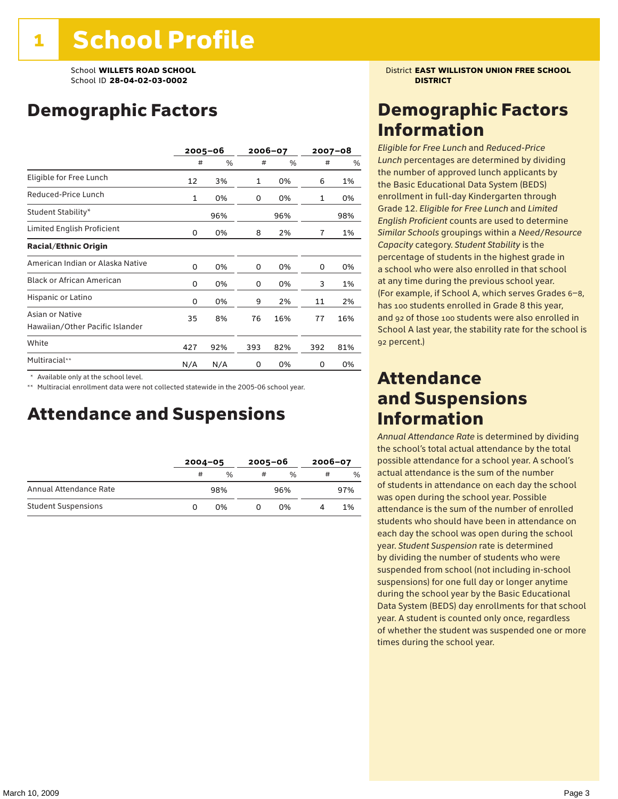# Demographic Factors

|                                                    |              | $2005 - 06$ | 2006-07 |     | 2007-08 |     |
|----------------------------------------------------|--------------|-------------|---------|-----|---------|-----|
|                                                    | #            | %           | #       | %   | #       | %   |
| Eligible for Free Lunch                            | 12           | 3%          | 1       | 0%  | 6       | 1%  |
| Reduced-Price Lunch                                | $\mathbf{1}$ | 0%          | 0       | 0%  | 1       | 0%  |
| Student Stability*                                 |              | 96%         |         | 96% |         | 98% |
| Limited English Proficient                         | 0            | 0%          | 8       | 2%  | 7       | 1%  |
| <b>Racial/Ethnic Origin</b>                        |              |             |         |     |         |     |
| American Indian or Alaska Native                   | 0            | 0%          | 0       | 0%  | 0       | 0%  |
| <b>Black or African American</b>                   | 0            | 0%          | 0       | 0%  | 3       | 1%  |
| Hispanic or Latino                                 | 0            | 0%          | 9       | 2%  | 11      | 2%  |
| Asian or Native<br>Hawaiian/Other Pacific Islander | 35           | 8%          | 76      | 16% | 77      | 16% |
| White                                              | 427          | 92%         | 393     | 82% | 392     | 81% |
| Multiracial**                                      | N/A          | N/A         | 0       | 0%  | 0       | 0%  |

\* Available only at the school level.

\*\* Multiracial enrollment data were not collected statewide in the 2005-06 school year.

### Attendance and Suspensions

|                            |   | $2004 - 05$   |   | $2005 - 06$   |   | $2006 - 07$ |  |
|----------------------------|---|---------------|---|---------------|---|-------------|--|
|                            | # | $\frac{0}{0}$ | # | $\frac{0}{0}$ | # | %           |  |
| Annual Attendance Rate     |   | 98%           |   | 96%           |   | 97%         |  |
| <b>Student Suspensions</b> | O | በ%            |   | በ%            |   | 1%          |  |

School **WILLETS ROAD SCHOOL** District **EAST WILLISTON UNION FREE SCHOOL**

### Demographic Factors Information

*Eligible for Free Lunch* and *Reduced*-*Price Lunch* percentages are determined by dividing the number of approved lunch applicants by the Basic Educational Data System (BEDS) enrollment in full-day Kindergarten through Grade 12. *Eligible for Free Lunch* and *Limited English Proficient* counts are used to determine *Similar Schools* groupings within a *Need*/*Resource Capacity* category. *Student Stability* is the percentage of students in the highest grade in a school who were also enrolled in that school at any time during the previous school year. (For example, if School A, which serves Grades 6–8, has 100 students enrolled in Grade 8 this year, and 92 of those 100 students were also enrolled in School A last year, the stability rate for the school is 92 percent.)

### Attendance and Suspensions Information

*Annual Attendance Rate* is determined by dividing the school's total actual attendance by the total possible attendance for a school year. A school's actual attendance is the sum of the number of students in attendance on each day the school was open during the school year. Possible attendance is the sum of the number of enrolled students who should have been in attendance on each day the school was open during the school year. *Student Suspension* rate is determined by dividing the number of students who were suspended from school (not including in-school suspensions) for one full day or longer anytime during the school year by the Basic Educational Data System (BEDS) day enrollments for that school year. A student is counted only once, regardless of whether the student was suspended one or more times during the school year.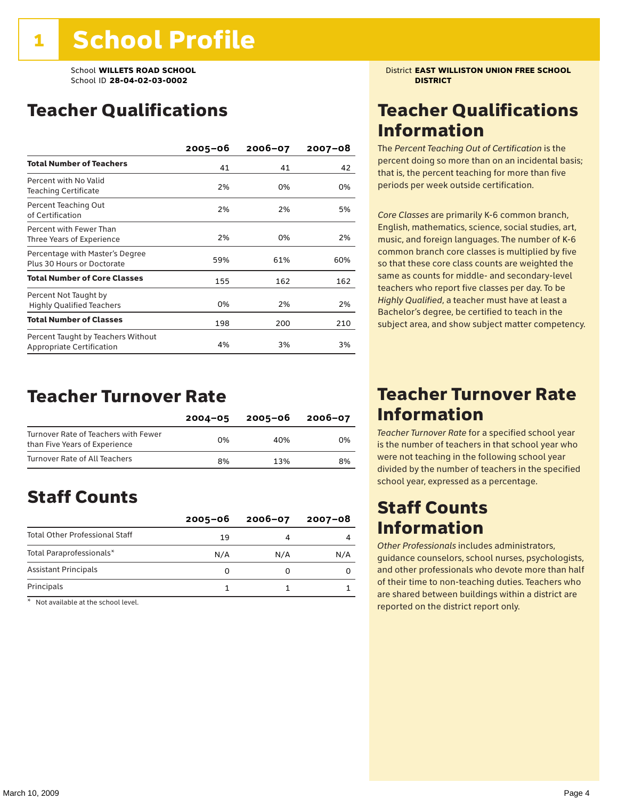# Teacher Qualifications

|                                                                 | $2005 - 06$ | $2006 - 07$ | $2007 - 08$ |
|-----------------------------------------------------------------|-------------|-------------|-------------|
| <b>Total Number of Teachers</b>                                 | 41          | 41          | 42          |
| Percent with No Valid<br>Teaching Certificate                   | 2%          | 0%          | 0%          |
| Percent Teaching Out<br>of Certification                        | 2%          | 2%          | 5%          |
| Percent with Fewer Than<br>Three Years of Experience            | 2%          | 0%          | 2%          |
| Percentage with Master's Degree<br>Plus 30 Hours or Doctorate   | 59%         | 61%         | 60%         |
| <b>Total Number of Core Classes</b>                             | 155         | 162         | 162         |
| Percent Not Taught by<br><b>Highly Qualified Teachers</b>       | 0%          | 2%          | 2%          |
| <b>Total Number of Classes</b>                                  | 198         | 200         | 210         |
| Percent Taught by Teachers Without<br>Appropriate Certification | 4%          | 3%          | 3%          |

### Teacher Turnover Rate

|                                                                       | $2004 - 05$ | 2005-06 | 2006-07 |
|-----------------------------------------------------------------------|-------------|---------|---------|
| Turnover Rate of Teachers with Fewer<br>than Five Years of Experience | በ%          | 40%     | 0%      |
| Turnover Rate of All Teachers                                         | 8%          | 13%     | 8%      |

# Staff Counts

|                                       | $2005 - 06$ | $2006 - 07$ | $2007 - 08$ |
|---------------------------------------|-------------|-------------|-------------|
| <b>Total Other Professional Staff</b> | 19          |             |             |
| Total Paraprofessionals*              | N/A         | N/A         | N/A         |
| <b>Assistant Principals</b>           |             |             |             |
| Principals                            |             |             |             |

\* Not available at the school level.

School **WILLETS ROAD SCHOOL** District **EAST WILLISTON UNION FREE SCHOOL**

# Teacher Qualifications Information

The *Percent Teaching Out of Certification* is the percent doing so more than on an incidental basis; that is, the percent teaching for more than five periods per week outside certification.

*Core Classes* are primarily K-6 common branch, English, mathematics, science, social studies, art, music, and foreign languages. The number of K-6 common branch core classes is multiplied by five so that these core class counts are weighted the same as counts for middle- and secondary-level teachers who report five classes per day. To be *Highly Qualified*, a teacher must have at least a Bachelor's degree, be certified to teach in the subject area, and show subject matter competency.

### Teacher Turnover Rate Information

*Teacher Turnover Rate* for a specified school year is the number of teachers in that school year who were not teaching in the following school year divided by the number of teachers in the specified school year, expressed as a percentage.

### Staff Counts Information

*Other Professionals* includes administrators, guidance counselors, school nurses, psychologists, and other professionals who devote more than half of their time to non-teaching duties. Teachers who are shared between buildings within a district are reported on the district report only.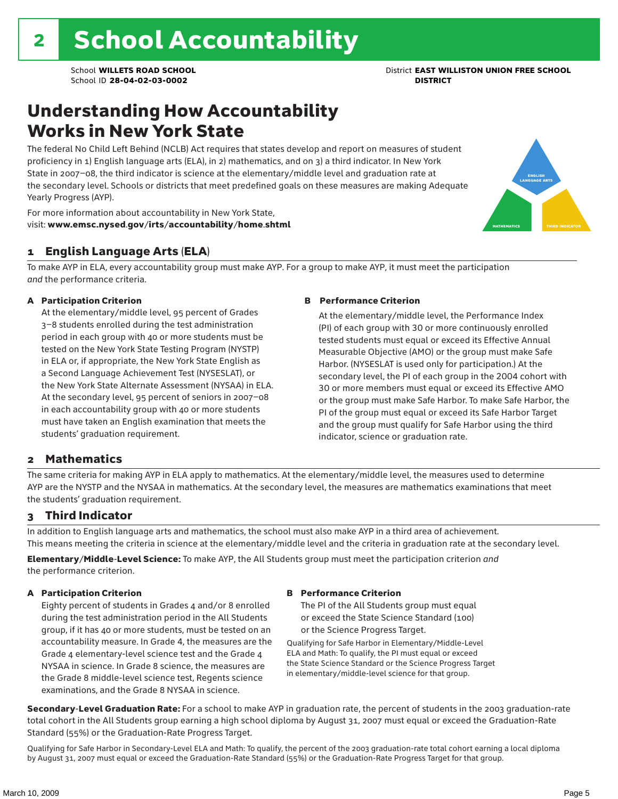## Understanding How Accountability Works in New York State

The federal No Child Left Behind (NCLB) Act requires that states develop and report on measures of student proficiency in 1) English language arts (ELA), in 2) mathematics, and on 3) a third indicator. In New York State in 2007–08, the third indicator is science at the elementary/middle level and graduation rate at the secondary level. Schools or districts that meet predefined goals on these measures are making Adequate Yearly Progress (AYP).



For more information about accountability in New York State, visit: www.emsc.nysed.gov/irts/accountability/home.shtml

### 1 English Language Arts (ELA)

To make AYP in ELA, every accountability group must make AYP. For a group to make AYP, it must meet the participation *and* the performance criteria.

### A Participation Criterion

At the elementary/middle level, 95 percent of Grades 3–8 students enrolled during the test administration period in each group with 40 or more students must be tested on the New York State Testing Program (NYSTP) in ELA or, if appropriate, the New York State English as a Second Language Achievement Test (NYSESLAT), or the New York State Alternate Assessment (NYSAA) in ELA. At the secondary level, 95 percent of seniors in 2007–08 in each accountability group with 40 or more students must have taken an English examination that meets the students' graduation requirement.

#### B Performance Criterion

At the elementary/middle level, the Performance Index (PI) of each group with 30 or more continuously enrolled tested students must equal or exceed its Effective Annual Measurable Objective (AMO) or the group must make Safe Harbor. (NYSESLAT is used only for participation.) At the secondary level, the PI of each group in the 2004 cohort with 30 or more members must equal or exceed its Effective AMO or the group must make Safe Harbor. To make Safe Harbor, the PI of the group must equal or exceed its Safe Harbor Target and the group must qualify for Safe Harbor using the third indicator, science or graduation rate.

### 2 Mathematics

The same criteria for making AYP in ELA apply to mathematics. At the elementary/middle level, the measures used to determine AYP are the NYSTP and the NYSAA in mathematics. At the secondary level, the measures are mathematics examinations that meet the students' graduation requirement.

### 3 Third Indicator

In addition to English language arts and mathematics, the school must also make AYP in a third area of achievement. This means meeting the criteria in science at the elementary/middle level and the criteria in graduation rate at the secondary level.

Elementary/Middle-Level Science: To make AYP, the All Students group must meet the participation criterion *and* the performance criterion.

### A Participation Criterion

Eighty percent of students in Grades 4 and/or 8 enrolled during the test administration period in the All Students group, if it has 40 or more students, must be tested on an accountability measure. In Grade 4, the measures are the Grade 4 elementary-level science test and the Grade 4 NYSAA in science. In Grade 8 science, the measures are the Grade 8 middle-level science test, Regents science examinations, and the Grade 8 NYSAA in science.

#### B Performance Criterion

The PI of the All Students group must equal or exceed the State Science Standard (100) or the Science Progress Target.

Qualifying for Safe Harbor in Elementary/Middle-Level ELA and Math: To qualify, the PI must equal or exceed the State Science Standard or the Science Progress Target in elementary/middle-level science for that group.

Secondary-Level Graduation Rate: For a school to make AYP in graduation rate, the percent of students in the 2003 graduation-rate total cohort in the All Students group earning a high school diploma by August 31, 2007 must equal or exceed the Graduation-Rate Standard (55%) or the Graduation-Rate Progress Target.

Qualifying for Safe Harbor in Secondary-Level ELA and Math: To qualify, the percent of the 2003 graduation-rate total cohort earning a local diploma by August 31, 2007 must equal or exceed the Graduation-Rate Standard (55%) or the Graduation-Rate Progress Target for that group.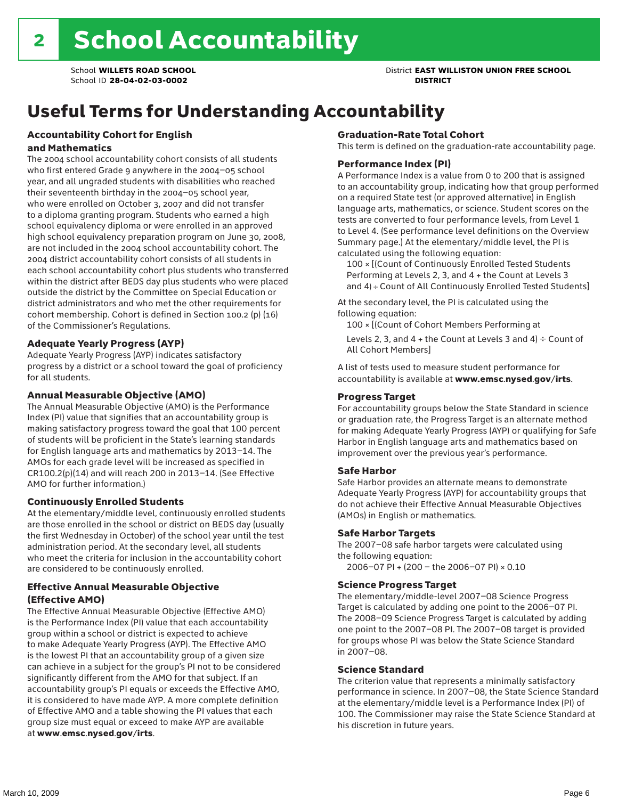# Useful Terms for Understanding Accountability

#### Accountability Cohort for English and Mathematics

The 2004 school accountability cohort consists of all students who first entered Grade 9 anywhere in the 2004–05 school year, and all ungraded students with disabilities who reached their seventeenth birthday in the 2004–05 school year, who were enrolled on October 3, 2007 and did not transfer to a diploma granting program. Students who earned a high school equivalency diploma or were enrolled in an approved high school equivalency preparation program on June 30, 2008, are not included in the 2004 school accountability cohort. The 2004 district accountability cohort consists of all students in each school accountability cohort plus students who transferred within the district after BEDS day plus students who were placed outside the district by the Committee on Special Education or district administrators and who met the other requirements for cohort membership. Cohort is defined in Section 100.2 (p) (16) of the Commissioner's Regulations.

### Adequate Yearly Progress (AYP)

Adequate Yearly Progress (AYP) indicates satisfactory progress by a district or a school toward the goal of proficiency for all students.

### Annual Measurable Objective (AMO)

The Annual Measurable Objective (AMO) is the Performance Index (PI) value that signifies that an accountability group is making satisfactory progress toward the goal that 100 percent of students will be proficient in the State's learning standards for English language arts and mathematics by 2013–14. The AMOs for each grade level will be increased as specified in CR100.2(p)(14) and will reach 200 in 2013–14. (See Effective AMO for further information.)

### Continuously Enrolled Students

At the elementary/middle level, continuously enrolled students are those enrolled in the school or district on BEDS day (usually the first Wednesday in October) of the school year until the test administration period. At the secondary level, all students who meet the criteria for inclusion in the accountability cohort are considered to be continuously enrolled.

### Effective Annual Measurable Objective (Effective AMO)

The Effective Annual Measurable Objective (Effective AMO) is the Performance Index (PI) value that each accountability group within a school or district is expected to achieve to make Adequate Yearly Progress (AYP). The Effective AMO is the lowest PI that an accountability group of a given size can achieve in a subject for the group's PI not to be considered significantly different from the AMO for that subject. If an accountability group's PI equals or exceeds the Effective AMO, it is considered to have made AYP. A more complete definition of Effective AMO and a table showing the PI values that each group size must equal or exceed to make AYP are available at www.emsc.nysed.gov/irts.

### Graduation-Rate Total Cohort

This term is defined on the graduation-rate accountability page.

#### Performance Index (PI)

A Performance Index is a value from 0 to 200 that is assigned to an accountability group, indicating how that group performed on a required State test (or approved alternative) in English language arts, mathematics, or science. Student scores on the tests are converted to four performance levels, from Level 1 to Level 4. (See performance level definitions on the Overview Summary page.) At the elementary/middle level, the PI is calculated using the following equation:

100 × [(Count of Continuously Enrolled Tested Students Performing at Levels 2, 3, and 4 + the Count at Levels 3 and 4) ÷ Count of All Continuously Enrolled Tested Students]

At the secondary level, the PI is calculated using the following equation:

100 × [(Count of Cohort Members Performing at

Levels 2, 3, and 4 + the Count at Levels 3 and 4)  $\div$  Count of All Cohort Members]

A list of tests used to measure student performance for accountability is available at www.emsc.nysed.gov/irts.

#### Progress Target

For accountability groups below the State Standard in science or graduation rate, the Progress Target is an alternate method for making Adequate Yearly Progress (AYP) or qualifying for Safe Harbor in English language arts and mathematics based on improvement over the previous year's performance.

#### Safe Harbor

Safe Harbor provides an alternate means to demonstrate Adequate Yearly Progress (AYP) for accountability groups that do not achieve their Effective Annual Measurable Objectives (AMOs) in English or mathematics.

#### Safe Harbor Targets

The 2007–08 safe harbor targets were calculated using the following equation:

2006–07 PI + (200 – the 2006–07 PI) × 0.10

#### Science Progress Target

The elementary/middle-level 2007–08 Science Progress Target is calculated by adding one point to the 2006–07 PI. The 2008–09 Science Progress Target is calculated by adding one point to the 2007–08 PI. The 2007–08 target is provided for groups whose PI was below the State Science Standard in 2007–08.

#### Science Standard

The criterion value that represents a minimally satisfactory performance in science. In 2007–08, the State Science Standard at the elementary/middle level is a Performance Index (PI) of 100. The Commissioner may raise the State Science Standard at his discretion in future years.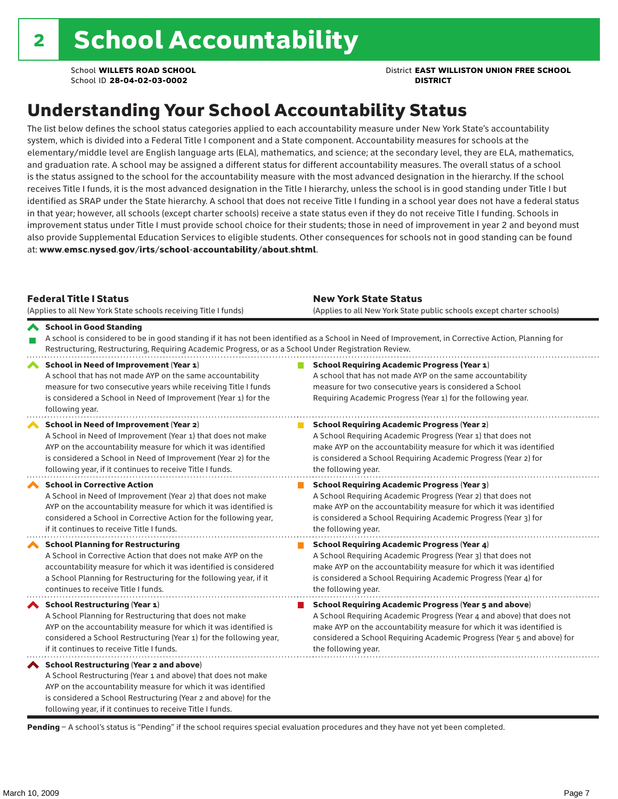School **WILLETS ROAD SCHOOL** District **EAST WILLISTON UNION FREE SCHOOL**

# Understanding Your School Accountability Status

The list below defines the school status categories applied to each accountability measure under New York State's accountability system, which is divided into a Federal Title I component and a State component. Accountability measures for schools at the elementary/middle level are English language arts (ELA), mathematics, and science; at the secondary level, they are ELA, mathematics, and graduation rate. A school may be assigned a different status for different accountability measures. The overall status of a school is the status assigned to the school for the accountability measure with the most advanced designation in the hierarchy. If the school receives Title I funds, it is the most advanced designation in the Title I hierarchy, unless the school is in good standing under Title I but identified as SRAP under the State hierarchy. A school that does not receive Title I funding in a school year does not have a federal status in that year; however, all schools (except charter schools) receive a state status even if they do not receive Title I funding. Schools in improvement status under Title I must provide school choice for their students; those in need of improvement in year 2 and beyond must also provide Supplemental Education Services to eligible students. Other consequences for schools not in good standing can be found at: www.emsc.nysed.gov/irts/school-accountability/about.shtml.

| <b>Federal Title I Status</b><br>(Applies to all New York State schools receiving Title I funds)                                                                                                                                                                                                         | <b>New York State Status</b><br>(Applies to all New York State public schools except charter schools) |                                                                                                                                                                                                                                                                                                                 |  |  |  |
|----------------------------------------------------------------------------------------------------------------------------------------------------------------------------------------------------------------------------------------------------------------------------------------------------------|-------------------------------------------------------------------------------------------------------|-----------------------------------------------------------------------------------------------------------------------------------------------------------------------------------------------------------------------------------------------------------------------------------------------------------------|--|--|--|
| School in Good Standing<br>Restructuring, Restructuring, Requiring Academic Progress, or as a School Under Registration Review.                                                                                                                                                                          |                                                                                                       | A school is considered to be in good standing if it has not been identified as a School in Need of Improvement, in Corrective Action, Planning for                                                                                                                                                              |  |  |  |
| School in Need of Improvement (Year 1)<br>A school that has not made AYP on the same accountability<br>measure for two consecutive years while receiving Title I funds<br>is considered a School in Need of Improvement (Year 1) for the<br>following year.                                              |                                                                                                       | <b>School Requiring Academic Progress (Year 1)</b><br>A school that has not made AYP on the same accountability<br>measure for two consecutive years is considered a School<br>Requiring Academic Progress (Year 1) for the following year.                                                                     |  |  |  |
| School in Need of Improvement (Year 2)<br>A School in Need of Improvement (Year 1) that does not make<br>AYP on the accountability measure for which it was identified<br>is considered a School in Need of Improvement (Year 2) for the<br>following year, if it continues to receive Title I funds.    |                                                                                                       | <b>School Requiring Academic Progress (Year 2)</b><br>A School Requiring Academic Progress (Year 1) that does not<br>make AYP on the accountability measure for which it was identified<br>is considered a School Requiring Academic Progress (Year 2) for<br>the following year.                               |  |  |  |
| <b>School in Corrective Action</b><br>A School in Need of Improvement (Year 2) that does not make<br>AYP on the accountability measure for which it was identified is<br>considered a School in Corrective Action for the following year,<br>if it continues to receive Title I funds.                   |                                                                                                       | <b>School Requiring Academic Progress (Year 3)</b><br>A School Requiring Academic Progress (Year 2) that does not<br>make AYP on the accountability measure for which it was identified<br>is considered a School Requiring Academic Progress (Year 3) for<br>the following year.                               |  |  |  |
| <b>School Planning for Restructuring</b><br>A School in Corrective Action that does not make AYP on the<br>accountability measure for which it was identified is considered<br>a School Planning for Restructuring for the following year, if it<br>continues to receive Title I funds.                  |                                                                                                       | <b>School Requiring Academic Progress (Year 4)</b><br>A School Requiring Academic Progress (Year 3) that does not<br>make AYP on the accountability measure for which it was identified<br>is considered a School Requiring Academic Progress (Year 4) for<br>the following year.                               |  |  |  |
| <b>School Restructuring (Year 1)</b><br>A School Planning for Restructuring that does not make<br>AYP on the accountability measure for which it was identified is<br>considered a School Restructuring (Year 1) for the following year,<br>if it continues to receive Title I funds.                    |                                                                                                       | <b>School Requiring Academic Progress (Year 5 and above)</b><br>A School Requiring Academic Progress (Year 4 and above) that does not<br>make AYP on the accountability measure for which it was identified is<br>considered a School Requiring Academic Progress (Year 5 and above) for<br>the following year. |  |  |  |
| School Restructuring (Year 2 and above)<br>A School Restructuring (Year 1 and above) that does not make<br>AYP on the accountability measure for which it was identified<br>is considered a School Restructuring (Year 2 and above) for the<br>following year, if it continues to receive Title I funds. |                                                                                                       |                                                                                                                                                                                                                                                                                                                 |  |  |  |

Pending - A school's status is "Pending" if the school requires special evaluation procedures and they have not yet been completed.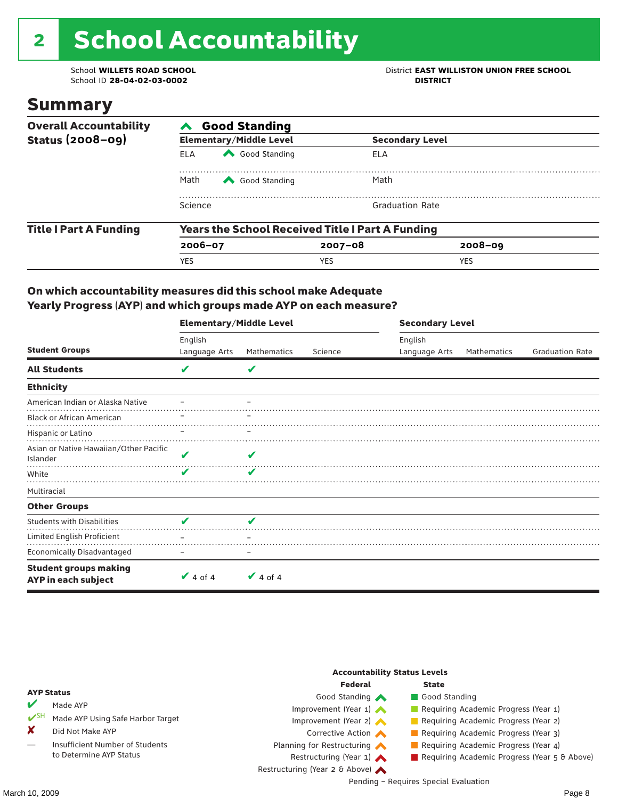# 2 School Accountability

School ID 28-04-02-03-0002

School **WILLETS ROAD SCHOOL**<br>School ID 28-04-02-03-0002<br>**DISTRICT** DISTRICT

### Summary

| <b>Overall Accountability</b> | <b>Good Standing</b>                                    |                                |                        |             |  |  |  |
|-------------------------------|---------------------------------------------------------|--------------------------------|------------------------|-------------|--|--|--|
| <b>Status (2008-09)</b>       |                                                         | <b>Elementary/Middle Level</b> | <b>Secondary Level</b> |             |  |  |  |
|                               | <b>ELA</b>                                              | Good Standing                  | ELA                    |             |  |  |  |
|                               | Math                                                    | Good Standing                  | Math                   |             |  |  |  |
|                               | Science                                                 |                                | <b>Graduation Rate</b> |             |  |  |  |
| <b>Title I Part A Funding</b> | <b>Years the School Received Title I Part A Funding</b> |                                |                        |             |  |  |  |
|                               | $2006 - 07$                                             |                                | $2007 - 08$            | $2008 - 09$ |  |  |  |
|                               | <b>YES</b>                                              |                                | <b>YES</b>             | <b>YES</b>  |  |  |  |

### On which accountability measures did this school make Adequate Yearly Progress (AYP) and which groups made AYP on each measure?

|                                                     | <b>Elementary/Middle Level</b> |               |         |               | <b>Secondary Level</b> |                        |  |  |
|-----------------------------------------------------|--------------------------------|---------------|---------|---------------|------------------------|------------------------|--|--|
|                                                     | English                        |               |         | English       |                        |                        |  |  |
| <b>Student Groups</b>                               | Language Arts                  | Mathematics   | Science | Language Arts | Mathematics            | <b>Graduation Rate</b> |  |  |
| <b>All Students</b>                                 | V                              | V             |         |               |                        |                        |  |  |
| <b>Ethnicity</b>                                    |                                |               |         |               |                        |                        |  |  |
| American Indian or Alaska Native                    |                                |               |         |               |                        |                        |  |  |
| <b>Black or African American</b>                    |                                |               |         |               |                        |                        |  |  |
| Hispanic or Latino                                  |                                |               |         |               |                        |                        |  |  |
| Asian or Native Hawaiian/Other Pacific<br>Islander  | V                              | V             |         |               |                        |                        |  |  |
| White                                               | ✔                              | ✔             |         |               |                        |                        |  |  |
| Multiracial                                         |                                |               |         |               |                        |                        |  |  |
| <b>Other Groups</b>                                 |                                |               |         |               |                        |                        |  |  |
| <b>Students with Disabilities</b>                   | V                              | V             |         |               |                        |                        |  |  |
| Limited English Proficient                          |                                |               |         |               |                        |                        |  |  |
| <b>Economically Disadvantaged</b>                   |                                |               |         |               |                        |                        |  |  |
| <b>Student groups making</b><br>AYP in each subject | $\vee$ 4 of 4                  | $\vee$ 4 of 4 |         |               |                        |                        |  |  |

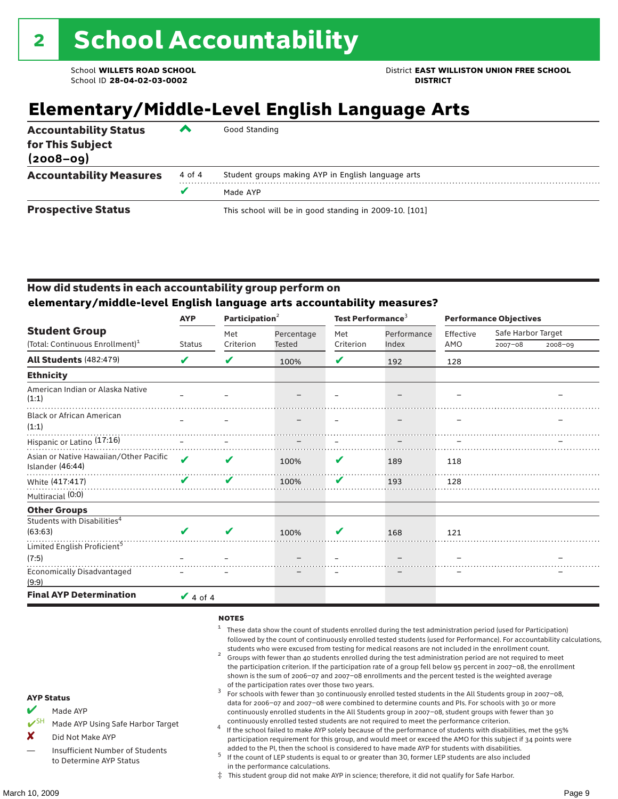# **Elementary/Middle-Level English Language Arts**

| <b>Accountability Status</b><br>for This Subject<br>$(2008 - 09)$ | ▰      | Good Standing                                          |
|-------------------------------------------------------------------|--------|--------------------------------------------------------|
| <b>Accountability Measures</b>                                    | 4 of 4 | Student groups making AYP in English language arts     |
|                                                                   | v      | Made AYP                                               |
| <b>Prospective Status</b>                                         |        | This school will be in good standing in 2009-10. [101] |

### How did students in each accountability group perform on **elementary/middle-level English language arts accountability measures?**

|                                                            | <b>AYP</b>    |           | Participation <sup>2</sup> |           | Test Performance <sup>3</sup> |           | <b>Performance Objectives</b> |         |  |
|------------------------------------------------------------|---------------|-----------|----------------------------|-----------|-------------------------------|-----------|-------------------------------|---------|--|
| <b>Student Group</b>                                       |               | Met       | Percentage                 | Met       | Performance                   | Effective | Safe Harbor Target            |         |  |
| (Total: Continuous Enrollment) <sup>1</sup>                | <b>Status</b> | Criterion | Tested                     | Criterion | Index                         | AMO       | $2007 - 08$                   | 2008-09 |  |
| <b>All Students (482:479)</b>                              | V             | V         | 100%                       | V         | 192                           | 128       |                               |         |  |
| <b>Ethnicity</b>                                           |               |           |                            |           |                               |           |                               |         |  |
| American Indian or Alaska Native<br>(1:1)                  |               |           |                            |           |                               |           |                               |         |  |
| <b>Black or African American</b><br>(1:1)                  |               |           |                            |           |                               |           |                               |         |  |
| Hispanic or Latino (17:16)                                 |               |           |                            |           |                               |           |                               |         |  |
| Asian or Native Hawaiian/Other Pacific<br>Islander (46:44) | ✔             | V         | 100%                       | V         | 189                           | 118       |                               |         |  |
| White (417:417)                                            | ✔             | ✔         | 100%                       | ✔         | 193                           | 128       |                               |         |  |
| Multiracial (0:0)                                          |               |           |                            |           |                               |           |                               |         |  |
| <b>Other Groups</b>                                        |               |           |                            |           |                               |           |                               |         |  |
| Students with Disabilities <sup>4</sup><br>(63:63)         |               | V         | 100%                       | v         | 168                           | 121       |                               |         |  |
| Limited English Proficient <sup>5</sup>                    |               |           |                            |           |                               |           |                               |         |  |
| (7:5)                                                      |               |           |                            |           |                               |           |                               |         |  |
| <b>Economically Disadvantaged</b><br>(9:9)                 |               |           |                            |           |                               |           |                               |         |  |
| <b>Final AYP Determination</b>                             | $\vee$ 4 of 4 |           |                            |           |                               |           |                               |         |  |

#### **NOTES**

- $1$  These data show the count of students enrolled during the test administration period (used for Participation) followed by the count of continuously enrolled tested students (used for Performance). For accountability calculations,
- students who were excused from testing for medical reasons are not included in the enrollment count. <sup>2</sup> Groups with fewer than 40 students enrolled during the test administration period are not required to meet the participation criterion. If the participation rate of a group fell below 95 percent in 2007–08, the enrollment shown is the sum of 2006–07 and 2007–08 enrollments and the percent tested is the weighted average
- of the participation rates over those two years.<br><sup>3</sup> For schools with fewer than 30 continuously enrolled tested students in the All Students group in 2007–08, data for 2006–07 and 2007–08 were combined to determine counts and PIs. For schools with 30 or more continuously enrolled students in the All Students group in 2007–08, student groups with fewer than 30
- continuously enrolled tested students are not required to meet the performance criterion. <sup>4</sup> If the school failed to make AYP solely because of the performance of students with disabilities, met the 95% participation requirement for this group, and would meet or exceed the AMO for this subject if 34 points were added to the PI, then the school is considered to have made AYP for students with disabilities.
- $5$  If the count of LEP students is equal to or greater than 30, former LEP students are also included in the performance calculations.
- ‡ This student group did not make AYP in science; therefore, it did not qualify for Safe Harbor.

AYP Status  $M$  Made AYP

X Did Not Make AYP

Made AYP Using Safe Harbor Target

Insufficient Number of Students to Determine AYP Status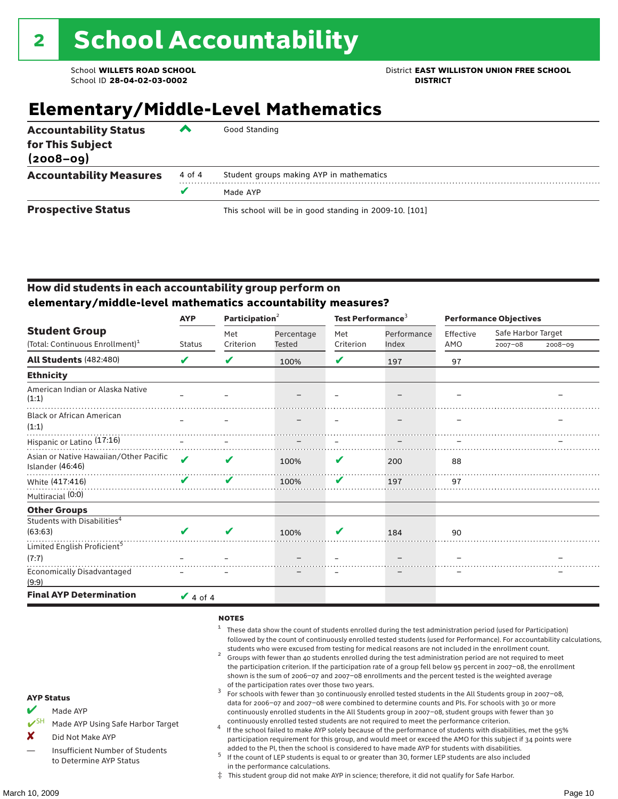School **WILLETS ROAD SCHOOL** District **EAST WILLISTON UNION FREE SCHOOL**

# **Elementary/Middle-Level Mathematics**

| <b>Accountability Status</b><br>for This Subject<br>$(2008 - 09)$ | ▰      | Good Standing                                          |
|-------------------------------------------------------------------|--------|--------------------------------------------------------|
| <b>Accountability Measures</b>                                    | 4 of 4 | Student groups making AYP in mathematics               |
|                                                                   |        | Made AYP                                               |
| <b>Prospective Status</b>                                         |        | This school will be in good standing in 2009-10. [101] |

### How did students in each accountability group perform on **elementary/middle-level mathematics accountability measures?**

|                                                            | <b>AYP</b>    | Participation <sup>2</sup> |            | Test Performance <sup>3</sup> |             | <b>Performance Objectives</b> |                    |         |  |
|------------------------------------------------------------|---------------|----------------------------|------------|-------------------------------|-------------|-------------------------------|--------------------|---------|--|
| <b>Student Group</b>                                       |               | Met                        | Percentage | Met                           | Performance | Effective                     | Safe Harbor Target |         |  |
| (Total: Continuous Enrollment) <sup>1</sup>                | <b>Status</b> | Criterion                  | Tested     | Criterion                     | Index       | AMO                           | $2007 - 08$        | 2008-09 |  |
| <b>All Students (482:480)</b>                              | ✔             | V                          | 100%       | V                             | 197         | 97                            |                    |         |  |
| <b>Ethnicity</b>                                           |               |                            |            |                               |             |                               |                    |         |  |
| American Indian or Alaska Native<br>(1:1)                  |               |                            |            |                               |             |                               |                    |         |  |
| <b>Black or African American</b><br>(1:1)                  |               |                            |            |                               |             |                               |                    |         |  |
| Hispanic or Latino (17:16)                                 |               |                            |            |                               |             |                               |                    |         |  |
| Asian or Native Hawaiian/Other Pacific<br>Islander (46:46) | ✔             | V                          | 100%       | V                             | 200         | 88                            |                    |         |  |
| White (417:416)                                            | ✔             | V                          | 100%       | V                             | 197         | 97                            |                    |         |  |
| Multiracial (0:0)                                          |               |                            |            |                               |             |                               |                    |         |  |
| <b>Other Groups</b>                                        |               |                            |            |                               |             |                               |                    |         |  |
| Students with Disabilities <sup>4</sup><br>(63:63)         |               | V                          | 100%       | V                             | 184         | 90                            |                    |         |  |
| Limited English Proficient <sup>5</sup>                    |               |                            |            |                               |             |                               |                    |         |  |
| (7:7)                                                      |               |                            |            |                               |             |                               |                    |         |  |
| <b>Economically Disadvantaged</b><br>(9:9)                 |               |                            |            |                               |             |                               |                    |         |  |
| <b>Final AYP Determination</b>                             | $\vee$ 4 of 4 |                            |            |                               |             |                               |                    |         |  |

#### **NOTES**

- $1$  These data show the count of students enrolled during the test administration period (used for Participation) followed by the count of continuously enrolled tested students (used for Performance). For accountability calculations,
- students who were excused from testing for medical reasons are not included in the enrollment count.<br><sup>2</sup> Groups with fewer than 40 students enrolled during the test administration period are not required to meet the participation criterion. If the participation rate of a group fell below 95 percent in 2007–08, the enrollment shown is the sum of 2006–07 and 2007–08 enrollments and the percent tested is the weighted average
- of the participation rates over those two years.<br><sup>3</sup> For schools with fewer than 30 continuously enrolled tested students in the All Students group in 2007–08, data for 2006–07 and 2007–08 were combined to determine counts and PIs. For schools with 30 or more continuously enrolled students in the All Students group in 2007–08, student groups with fewer than 30
- continuously enrolled tested students are not required to meet the performance criterion. <sup>4</sup> If the school failed to make AYP solely because of the performance of students with disabilities, met the 95% participation requirement for this group, and would meet or exceed the AMO for this subject if 34 points were added to the PI, then the school is considered to have made AYP for students with disabilities.
- $5$  If the count of LEP students is equal to or greater than 30, former LEP students are also included in the performance calculations.
- ‡ This student group did not make AYP in science; therefore, it did not qualify for Safe Harbor.
- $M$  Made AYP
	- Made AYP Using Safe Harbor Target
- X Did Not Make AYP
- Insufficient Number of Students to Determine AYP Status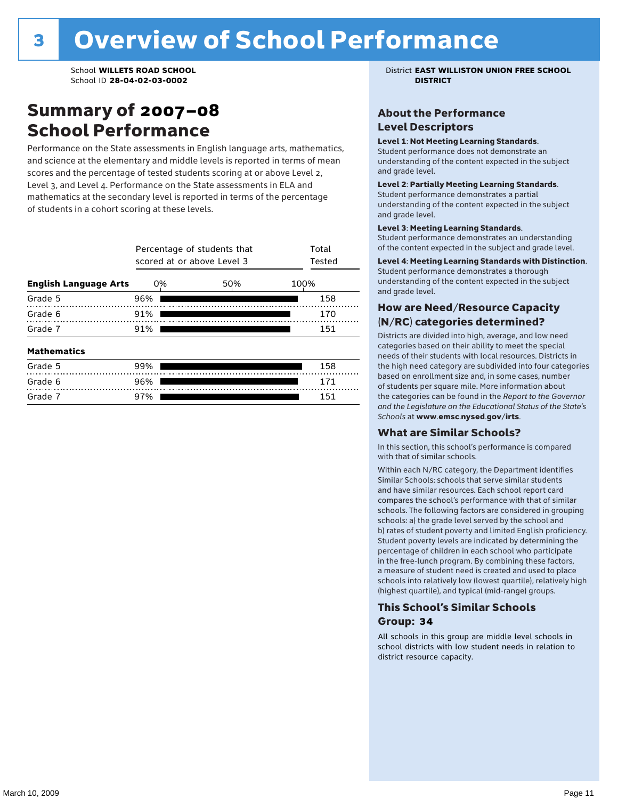### Summary of 2007–08 School Performance

Performance on the State assessments in English language arts, mathematics, and science at the elementary and middle levels is reported in terms of mean scores and the percentage of tested students scoring at or above Level 2, Level 3, and Level 4. Performance on the State assessments in ELA and mathematics at the secondary level is reported in terms of the percentage of students in a cohort scoring at these levels.

|                              | Percentage of students that<br>scored at or above Level 3 | Total<br>Tested |      |
|------------------------------|-----------------------------------------------------------|-----------------|------|
| <b>English Language Arts</b> | 0%                                                        | 50%             | 100% |
| Grade 5                      | 96%                                                       |                 | 158  |
| Grade 6                      | 91%                                                       |                 | 170  |
| Grade 7                      | 91%                                                       | 151             |      |
| <b>Mathematics</b>           |                                                           |                 |      |
| Grade 5                      | 99%                                                       |                 | 158  |
| Grade 6                      | 96%                                                       |                 | 171  |
| Grade 7                      | 97%                                                       |                 | 151  |

School **WILLETS ROAD SCHOOL** District **EAST WILLISTON UNION FREE SCHOOL**

### About the Performance Level Descriptors

#### Level 1: Not Meeting Learning Standards.

Student performance does not demonstrate an understanding of the content expected in the subject and grade level.

#### Level 2: Partially Meeting Learning Standards.

Student performance demonstrates a partial understanding of the content expected in the subject and grade level.

#### Level 3: Meeting Learning Standards.

Student performance demonstrates an understanding of the content expected in the subject and grade level.

#### Level 4: Meeting Learning Standards with Distinction.

Student performance demonstrates a thorough understanding of the content expected in the subject and grade level.

### How are Need/Resource Capacity (N/RC) categories determined?

Districts are divided into high, average, and low need categories based on their ability to meet the special needs of their students with local resources. Districts in the high need category are subdivided into four categories based on enrollment size and, in some cases, number of students per square mile. More information about the categories can be found in the *Report to the Governor and the Legislature on the Educational Status of the State's Schools* at www.emsc.nysed.gov/irts.

#### What are Similar Schools?

In this section, this school's performance is compared with that of similar schools.

Within each N/RC category, the Department identifies Similar Schools: schools that serve similar students and have similar resources. Each school report card compares the school's performance with that of similar schools. The following factors are considered in grouping schools: a) the grade level served by the school and b) rates of student poverty and limited English proficiency. Student poverty levels are indicated by determining the percentage of children in each school who participate in the free-lunch program. By combining these factors, a measure of student need is created and used to place schools into relatively low (lowest quartile), relatively high (highest quartile), and typical (mid-range) groups.

### This School's Similar Schools Group: **34**

All schools in this group are middle level schools in school districts with low student needs in relation to district resource capacity.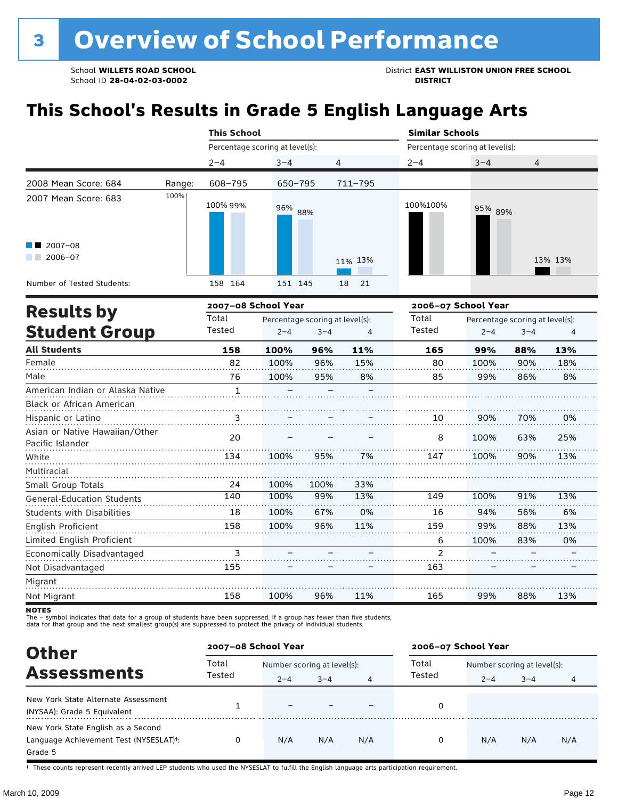School ID 28-04-02-03-0002

School **WILLETS ROAD SCHOOL**<br>School ID 28-04-02-03-0002<br>**DISTRICT** DISTRICT

# **This School's Results in Grade 5 English Language Arts**

|                                                                   |        | <b>This School</b>                        |            |            | <b>Similar Schools</b>                           |         |                |  |  |
|-------------------------------------------------------------------|--------|-------------------------------------------|------------|------------|--------------------------------------------------|---------|----------------|--|--|
|                                                                   |        | Percentage scoring at level(s):           |            |            | Percentage scoring at level(s):                  |         |                |  |  |
|                                                                   |        | $2 - 4$                                   | $3 - 4$    | 4          | $2 - 4$                                          | $3 - 4$ | $\overline{4}$ |  |  |
| 2008 Mean Score: 684                                              | Range: | 608-795                                   | 650-795    | 711-795    |                                                  |         |                |  |  |
| 2007 Mean Score: 683<br>$\blacksquare$ 2007-08<br>2006-07<br>a ka | 100%   | 100% 99%                                  | 96%<br>88% | 11% 13%    | 100%100%                                         | 95% 89% | 13% 13%        |  |  |
| Number of Tested Students:                                        |        | 158 164                                   | 151 145    | 18<br>- 21 |                                                  |         |                |  |  |
|                                                                   |        | $\sim$ $\sim$ $\sim$ $\sim$ $\sim$ $\sim$ |            |            | $\sim$ $\sim$ $\sim$ $\sim$ $\sim$ $\sim$ $\sim$ |         |                |  |  |

|                                                    |        | 2007-08 School Year |                                 |     | 2006-07 School Year |         |                                 |     |  |
|----------------------------------------------------|--------|---------------------|---------------------------------|-----|---------------------|---------|---------------------------------|-----|--|
| <b>Results by</b>                                  | Total  |                     | Percentage scoring at level(s): |     | Total               |         | Percentage scoring at level(s): |     |  |
| <b>Student Group</b>                               | Tested | $2 - 4$             | $3 - 4$                         | 4   | Tested              | $2 - 4$ | $3 - 4$                         | 4   |  |
| <b>All Students</b>                                | 158    | 100%                | 96%                             | 11% | 165                 | 99%     | 88%                             | 13% |  |
| Female                                             | 82     | 100%                | 96%                             | 15% | 80                  | 100%    | 90%                             | 18% |  |
| Male                                               | 76     | 100%                | 95%                             | 8%  | 85                  | 99%     | 86%                             | 8%  |  |
| American Indian or Alaska Native                   | 1      |                     |                                 |     |                     |         |                                 |     |  |
| Black or African American                          |        |                     |                                 |     |                     |         |                                 |     |  |
| Hispanic or Latino                                 | 3      |                     |                                 |     | 10                  | 90%     | 70%                             | 0%  |  |
| Asian or Native Hawaiian/Other<br>Pacific Islander | 20     |                     |                                 |     | 8                   | 100%    | 63%                             | 25% |  |
| White                                              | 134    | 100%                | 95%                             | 7%  | 147                 | 100%    | 90%                             | 13% |  |
| Multiracial                                        |        |                     |                                 |     |                     |         |                                 |     |  |
| Small Group Totals                                 | 24     | 100%                | 100%                            | 33% |                     |         |                                 |     |  |
| <b>General-Education Students</b>                  | 140    | 100%                | 99%                             | 13% | 149                 | 100%    | 91%                             | 13% |  |
| <b>Students with Disabilities</b>                  | 18     | 100%                | 67%                             | 0%  | 16                  | 94%     | 56%                             | 6%  |  |
| <b>English Proficient</b>                          | 158    | 100%                | 96%                             | 11% | 159                 | 99%     | 88%                             | 13% |  |
| Limited English Proficient                         |        |                     |                                 |     | 6                   | 100%    | 83%                             | 0%  |  |
| Economically Disadvantaged                         | 3      |                     |                                 |     | $\overline{2}$      |         |                                 |     |  |
| Not Disadvantaged                                  | 155    |                     |                                 |     | 163                 |         |                                 |     |  |
| Migrant                                            |        |                     |                                 |     |                     |         |                                 |     |  |
| Not Migrant                                        | 158    | 100%                | 96%                             | 11% | 165                 | 99%     | 88%                             | 13% |  |

**NOTES** 

The – symbol indicates that data for a group of students have been suppressed. If a group has fewer than five students,<br>data for that group and the next smallest group(s) are suppressed to protect the privacy of individual

| <b>Other</b>                                                                                         | 2007-08 School Year |                                        |         |     | 2006-07 School Year |                                        |         |     |
|------------------------------------------------------------------------------------------------------|---------------------|----------------------------------------|---------|-----|---------------------|----------------------------------------|---------|-----|
| <b>Assessments</b>                                                                                   | Total<br>Tested     | Number scoring at level(s):<br>$2 - 4$ | $3 - 4$ | 4   | Total<br>Tested     | Number scoring at level(s):<br>$2 - 4$ | $3 - 4$ | 4   |
| New York State Alternate Assessment<br>(NYSAA): Grade 5 Equivalent                                   |                     |                                        |         |     | 0                   |                                        |         |     |
| New York State English as a Second<br>Language Achievement Test (NYSESLAT) <sup>+</sup> :<br>Grade 5 |                     | N/A                                    | N/A     | N/A | 0                   | N/A                                    | N/A     | N/A |

† These counts represent recently arrived LEP students who used the NYSESLAT to fulfill the English language arts participation requirement.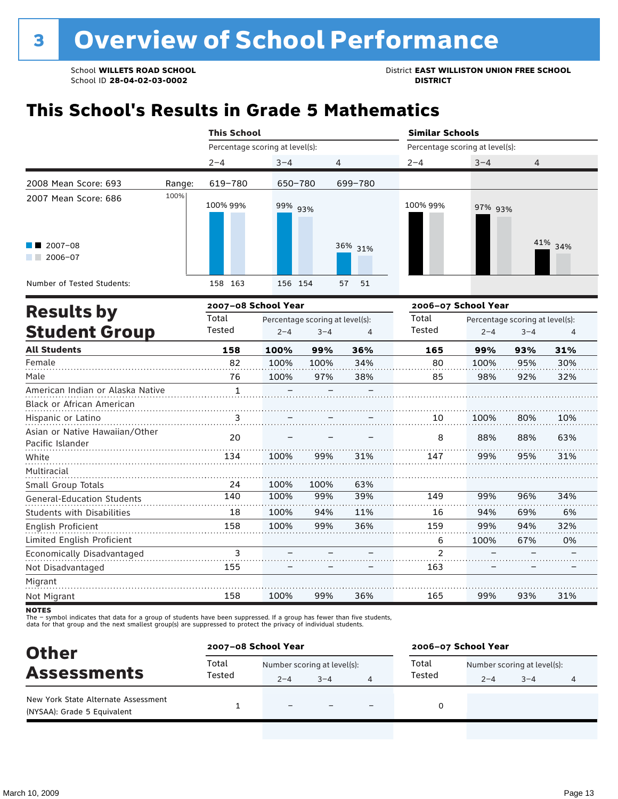School **WILLETS ROAD SCHOOL**<br>School ID 28-04-02-03-0002<br>**DISTRICT** DISTRICT

# **This School's Results in Grade 5 Mathematics**

|                                           |        | <b>This School</b>              |         |          | <b>Similar Schools</b>          |                                           |         |  |  |
|-------------------------------------------|--------|---------------------------------|---------|----------|---------------------------------|-------------------------------------------|---------|--|--|
|                                           |        | Percentage scoring at level(s): |         |          | Percentage scoring at level(s): |                                           |         |  |  |
|                                           |        | $2 - 4$                         | $3 - 4$ | 4        | $2 - 4$                         | $3 - 4$                                   | 4       |  |  |
| 2008 Mean Score: 693                      | Range: | 619-780                         | 650-780 | 699-780  |                                 |                                           |         |  |  |
| 2007 Mean Score: 686                      | 100%   | 100% 99%                        | 99% 93% |          | 100% 99%                        | 97% 93%                                   |         |  |  |
| $\blacksquare$ 2007-08<br>2006-07<br>a ka |        |                                 |         | 36% 31%  |                                 |                                           | 41% 34% |  |  |
| Number of Tested Students:                |        | 163<br>158                      | 156 154 | 57<br>51 |                                 |                                           |         |  |  |
|                                           |        | ------                          |         |          |                                 | $\sim$ $\sim$ $\sim$ $\sim$ $\sim$ $\sim$ |         |  |  |

|                                                    |        | 2007-08 School Year |                                 |     | 2006-07 School Year |         |                                 |     |
|----------------------------------------------------|--------|---------------------|---------------------------------|-----|---------------------|---------|---------------------------------|-----|
| <b>Results by</b>                                  | Total  |                     | Percentage scoring at level(s): |     | Total               |         | Percentage scoring at level(s): |     |
| <b>Student Group</b>                               | Tested | $2 - 4$             | $3 - 4$                         | 4   | Tested              | $2 - 4$ | $3 - 4$                         | 4   |
| <b>All Students</b>                                | 158    | 100%                | 99%                             | 36% | 165                 | 99%     | 93%                             | 31% |
| Female                                             | 82     | 100%                | 100%                            | 34% | 80                  | 100%    | 95%                             | 30% |
| Male                                               | 76     | 100%                | 97%                             | 38% | 85                  | 98%     | 92%                             | 32% |
| American Indian or Alaska Native                   | 1      |                     |                                 |     |                     |         |                                 |     |
| <b>Black or African American</b>                   |        |                     |                                 |     |                     |         |                                 |     |
| Hispanic or Latino                                 | 3      |                     |                                 |     | 10                  | 100%    | 80%                             | 10% |
| Asian or Native Hawaiian/Other<br>Pacific Islander | 20     |                     |                                 |     | 8                   | 88%     | 88%                             | 63% |
| White                                              | 134    | 100%                | 99%                             | 31% | 147                 | 99%     | 95%                             | 31% |
| Multiracial                                        |        |                     |                                 |     |                     |         |                                 |     |
| Small Group Totals                                 | 24     | 100%                | 100%                            | 63% |                     |         |                                 |     |
| <b>General-Education Students</b>                  | 140    | 100%                | 99%                             | 39% | 149                 | 99%     | 96%                             | 34% |
| <b>Students with Disabilities</b>                  | 18     | 100%                | 94%                             | 11% | 16                  | 94%     | 69%                             | 6%  |
| English Proficient                                 | 158    | 100%                | 99%                             | 36% | 159                 | 99%     | 94%                             | 32% |
| Limited English Proficient                         |        |                     |                                 |     | 6                   | 100%    | 67%                             | 0%  |
| Economically Disadvantaged                         | 3      |                     |                                 |     | $\mathfrak{p}$      |         |                                 |     |
| Not Disadvantaged                                  | 155    |                     |                                 |     | 163                 |         |                                 |     |
| Migrant                                            |        |                     |                                 |     |                     |         |                                 |     |
| Not Migrant                                        | 158    | 100%                | 99%                             | 36% | 165                 | 99%     | 93%                             | 31% |

**NOTES** 

The – symbol indicates that data for a group of students have been suppressed. If a group has fewer than five students,<br>data for that group and the next smallest group(s) are suppressed to protect the privacy of individual

| <b>Other</b>                                                       | 2007-08 School Year |                             |         |                          | 2006-07 School Year |                             |         |   |
|--------------------------------------------------------------------|---------------------|-----------------------------|---------|--------------------------|---------------------|-----------------------------|---------|---|
| <b>Assessments</b>                                                 | Total               | Number scoring at level(s): |         |                          | Total               | Number scoring at level(s): |         |   |
|                                                                    | Tested              | $2 - 4$                     | $3 - 4$ |                          | Tested              | $2 - 4$                     | $3 - 4$ | 4 |
| New York State Alternate Assessment<br>(NYSAA): Grade 5 Equivalent |                     |                             |         | $\overline{\phantom{0}}$ |                     |                             |         |   |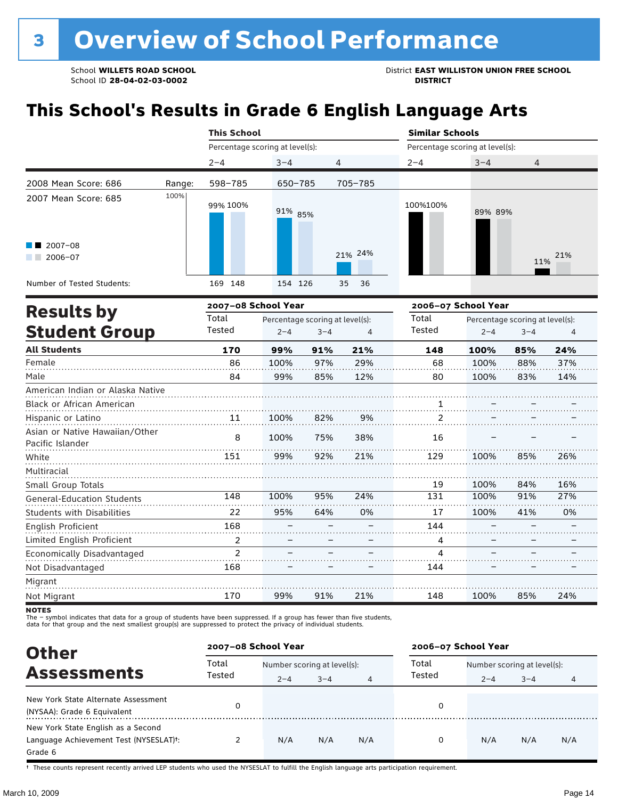School **WILLETS ROAD SCHOOL**<br>School ID 28-04-02-03-0002<br>**DISTRICT** DISTRICT

# **This School's Results in Grade 6 English Language Arts**

|                                                    |        | <b>This School</b>                       |         |                |          | <b>Similar Schools</b>          |                     |                                 |     |  |
|----------------------------------------------------|--------|------------------------------------------|---------|----------------|----------|---------------------------------|---------------------|---------------------------------|-----|--|
|                                                    |        | Percentage scoring at level(s):          |         |                |          | Percentage scoring at level(s): |                     |                                 |     |  |
|                                                    |        | $2 - 4$                                  | $3 - 4$ | $\overline{4}$ |          | $2 - 4$                         | $3 - 4$             | $\overline{4}$                  |     |  |
| 2008 Mean Score: 686                               | Range: | 598-785                                  | 650-785 |                | 705-785  |                                 |                     |                                 |     |  |
| 2007 Mean Score: 685                               | 100%   | 99% 100%                                 | 91% 85% |                |          | 100%100%                        | 89% 89%             |                                 |     |  |
| $2007 - 08$<br>$2006 - 07$                         |        |                                          |         |                | 21% 24%  |                                 |                     | 11%                             | 21% |  |
| Number of Tested Students:                         |        | 169 148                                  | 154 126 |                | 35<br>36 |                                 |                     |                                 |     |  |
|                                                    |        | 2007-08 School Year                      |         |                |          |                                 | 2006-07 School Year |                                 |     |  |
| <b>Results by</b>                                  |        | Total<br>Percentage scoring at level(s): |         |                |          | Total                           |                     | Percentage scoring at level(s): |     |  |
| <b>Student Group</b>                               |        | Tested                                   | $2 - 4$ | $3 - 4$        | 4        | Tested                          | $2 - 4$             | $3 - 4$                         | 4   |  |
| <b>All Students</b>                                |        | 170                                      | 99%     | 91%            | 21%      | 148                             | 100%                | 85%                             | 24% |  |
| Female                                             |        | 86                                       | 100%    | 97%            | 29%      | 68                              | 100%                | 88%                             | 37% |  |
| Male                                               |        | 84                                       | 99%     | 85%            | 12%      | 80                              | 100%                | 83%                             | 14% |  |
| American Indian or Alaska Native                   |        |                                          |         |                |          |                                 |                     |                                 |     |  |
| <b>Black or African American</b>                   |        |                                          |         |                |          | $\mathbf{1}$                    |                     |                                 |     |  |
| Hispanic or Latino                                 |        | 11                                       | 100%    | 82%            |          |                                 |                     |                                 |     |  |
| Asian or Native Hawaiian/Other<br>Pacific Islander |        | 8                                        | 100%    | 75%            | 38%      | 16                              |                     |                                 |     |  |
| White                                              |        | 151                                      | 99%     | 92%            | 21%      | 129                             | 100%                | 85%                             | 26% |  |
| Multiracial                                        |        |                                          |         |                |          |                                 |                     |                                 |     |  |
| Small Group Totals                                 |        |                                          |         |                |          | 19                              | 100%                | 84%                             | 16% |  |
| <b>General-Education Students</b>                  |        | $\overline{148}$                         | 100%    | 95%            | 24%      | 131                             | 100%                | 91%                             | 27% |  |
|                                                    |        |                                          |         |                |          |                                 |                     |                                 |     |  |

| General-Education Students        | ᅩᆠ୰ | <b>10070</b> | <i>JJ /</i> U | $2 + 70$ | ᆂᆆᆂ   | <b>10070</b> | 77.70 | 21/0 |
|-----------------------------------|-----|--------------|---------------|----------|-------|--------------|-------|------|
| <b>Students with Disabilities</b> |     | 95%          | 64%           | 0%       |       | 100%         | 41%   | 0%   |
| English Proficient                | 168 |              |               |          | 144   |              |       |      |
| Limited English Proficient        |     |              |               |          |       |              |       |      |
| Economically Disadvantaged        |     |              |               |          |       |              |       |      |
| Not Disadvantaged                 | 168 |              |               |          | 1 4 4 |              |       |      |
| Migrant                           |     |              |               |          |       |              |       |      |
| Not Migrant                       | 170 | 99%          | 91%           | 21%      | 48    | 100%         | 85%   | 24%  |

**NOTES** 

The – symbol indicates that data for a group of students have been suppressed. If a group has fewer than five students,<br>data for that group and the next smallest group(s) are suppressed to protect the privacy of individual

| <b>Other</b>                                                                                         | 2007-08 School Year                                                  |     |     |     | 2006-07 School Year |                                        |         |     |
|------------------------------------------------------------------------------------------------------|----------------------------------------------------------------------|-----|-----|-----|---------------------|----------------------------------------|---------|-----|
| <b>Assessments</b>                                                                                   | Total<br>Number scoring at level(s):<br>Tested<br>$3 - 4$<br>$2 - 4$ |     |     |     | Total<br>Tested     | Number scoring at level(s):<br>$2 - 4$ | $3 - 4$ | 4   |
| New York State Alternate Assessment<br>(NYSAA): Grade 6 Equivalent                                   |                                                                      |     |     |     | 0                   |                                        |         |     |
| New York State English as a Second<br>Language Achievement Test (NYSESLAT) <sup>t</sup> :<br>Grade 6 |                                                                      | N/A | N/A | N/A | 0                   | N/A                                    | N/A     | N/A |

† These counts represent recently arrived LEP students who used the NYSESLAT to fulfill the English language arts participation requirement.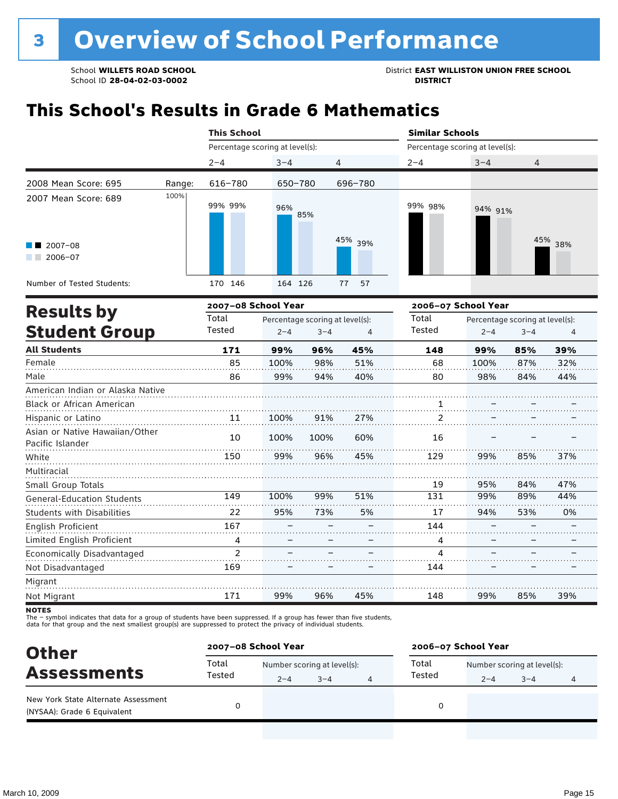School **WILLETS ROAD SCHOOL**<br>School ID 28-04-02-03-0002<br>**DISTRICT** DISTRICT

# **This School's Results in Grade 6 Mathematics**

|                                                    |        | <b>This School</b>              |         |                                 |                | <b>Similar Schools</b>          |                                 |         |         |  |  |
|----------------------------------------------------|--------|---------------------------------|---------|---------------------------------|----------------|---------------------------------|---------------------------------|---------|---------|--|--|
|                                                    |        | Percentage scoring at level(s): |         |                                 |                | Percentage scoring at level(s): |                                 |         |         |  |  |
|                                                    |        | $2 - 4$                         | $3 - 4$ |                                 | 4              | $2 - 4$                         | $3 - 4$                         | 4       |         |  |  |
| 2008 Mean Score: 695                               | Range: | 616-780                         | 650-780 |                                 | 696-780        |                                 |                                 |         |         |  |  |
| 2007 Mean Score: 689                               | 100%   | 99% 99%                         | 96%     | 85%                             |                | 99% 98%                         | 94% 91%                         |         |         |  |  |
| $2007 - 08$<br>$2006 - 07$                         |        |                                 |         |                                 | 45% 39%        |                                 |                                 |         | 45% 38% |  |  |
| Number of Tested Students:                         |        | 170 146                         | 164 126 |                                 | 57<br>77       |                                 |                                 |         |         |  |  |
| <b>Results by</b>                                  |        | 2007-08 School Year             |         |                                 |                | 2006-07 School Year             |                                 |         |         |  |  |
|                                                    |        | Total                           |         | Percentage scoring at level(s): |                | Total                           | Percentage scoring at level(s): |         |         |  |  |
| <b>Student Group</b>                               |        | Tested                          | $2 - 4$ | $3 - 4$                         | $\overline{4}$ | <b>Tested</b>                   | $2 - 4$                         | $3 - 4$ | 4       |  |  |
| <b>All Students</b>                                |        | 171                             | 99%     | 96%                             | 45%            | 148                             | 99%                             | 85%     | 39%     |  |  |
| Female                                             |        | 85                              | 100%    | 98%                             | 51%            | 68                              | 100%                            | 87%     | 32%     |  |  |
| Male                                               |        | 86                              | 99%     | 94%                             | 40%            | 80                              | 98%                             | 84%     | 44%     |  |  |
| American Indian or Alaska Native                   |        |                                 |         |                                 |                |                                 |                                 |         |         |  |  |
| Black or African American                          |        |                                 |         |                                 |                |                                 |                                 |         |         |  |  |
| Hispanic or Latino                                 |        | 11                              | 100%    | 91%                             | 27%            | 2                               |                                 |         |         |  |  |
| Asian or Native Hawaiian/Other<br>Pacific Islander |        | 10                              | 100%    | 100%                            | 60%            | 16                              |                                 |         |         |  |  |
| White                                              |        | 150                             | 99%     | 96%                             | 45%            | 129                             | 99%                             | 85%     | 37%     |  |  |
| Multiracial                                        |        |                                 |         |                                 |                |                                 |                                 |         |         |  |  |
| Small Group Totals                                 |        |                                 |         |                                 |                | 19                              | 95%                             | 84%     | 47%     |  |  |
| General-Education Students                         |        | 149                             | 100%    | 99%                             | 51%            | 131                             | 99%                             | 89%     | 44%     |  |  |
| <b>Students with Disabilities</b>                  |        | 22                              | 95%     | 73%                             | 5%             | 17                              | 94%                             | 53%     | 0%      |  |  |
| English Proficient                                 |        | 167                             |         |                                 |                | 144                             |                                 |         |         |  |  |
| Limited English Proficient                         |        | 4                               |         |                                 |                | 4                               |                                 |         |         |  |  |
| Economically Disadvantaged                         |        | $\overline{c}$                  |         |                                 |                | 4                               |                                 |         |         |  |  |
| Not Disadvantaged                                  |        | 169                             |         |                                 |                | 144                             |                                 |         |         |  |  |
| Migrant                                            |        |                                 |         |                                 |                |                                 |                                 |         |         |  |  |

<sup>...................</sup> 99% Not Migrant 171 96% 45% 148 99% 85% 39%

The – symbol indicates that data for a group of students have been suppressed. If a group has fewer than five students,<br>data for that group and the next smallest group(s) are suppressed to protect the privacy of individual

| 2007-08 School Year<br><b>Other</b>                                |                 |                             |         |  | 2006-07 School Year |                             |         |   |  |
|--------------------------------------------------------------------|-----------------|-----------------------------|---------|--|---------------------|-----------------------------|---------|---|--|
| <b>Assessments</b>                                                 | Total<br>Tested | Number scoring at level(s): |         |  | Total               | Number scoring at level(s): |         |   |  |
|                                                                    |                 | $2 - 4$                     | $3 - 4$ |  | Tested              | $2 - 4$                     | $3 - 4$ | 4 |  |
| New York State Alternate Assessment<br>(NYSAA): Grade 6 Equivalent |                 |                             |         |  | 0                   |                             |         |   |  |

**NOTES**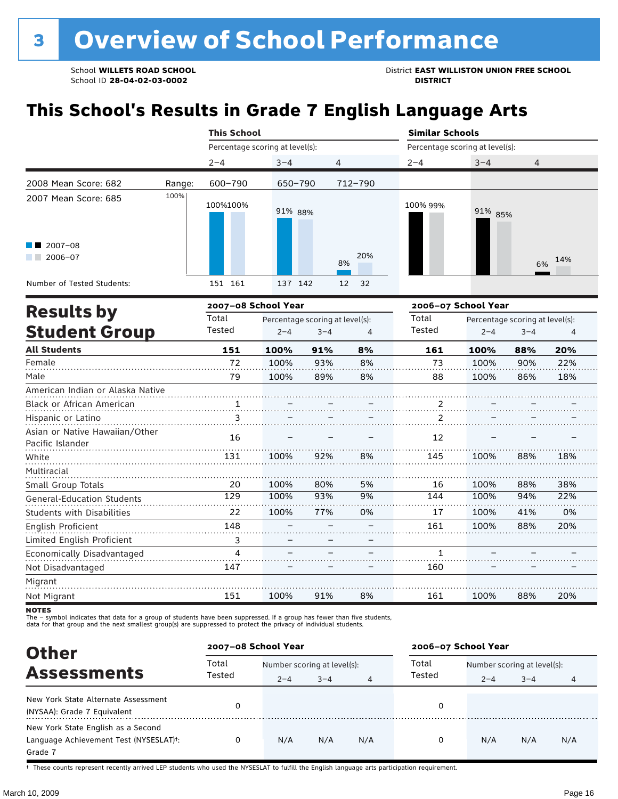School ID 28-04-02-03-0002

School **WILLETS ROAD SCHOOL**<br>School ID 28-04-02-03-0002<br>**DISTRICT** DISTRICT

# **This School's Results in Grade 7 English Language Arts**

|                                     |        | <b>This School</b>              |         |         | <b>Similar Schools</b>          |                                 |                                 |         |     |  |  |
|-------------------------------------|--------|---------------------------------|---------|---------|---------------------------------|---------------------------------|---------------------------------|---------|-----|--|--|
|                                     |        | Percentage scoring at level(s): |         |         |                                 | Percentage scoring at level(s): |                                 |         |     |  |  |
|                                     |        | $2 - 4$                         | $3 - 4$ |         | 4                               | $2 - 4$                         | $3 - 4$                         | 4       |     |  |  |
| 2008 Mean Score: 682                | Range: | 600-790                         | 650-790 |         | 712-790                         |                                 |                                 |         |     |  |  |
| 2007 Mean Score: 685<br>$2007 - 08$ | 100%   | 100%100%                        | 91% 88% |         |                                 | 100% 99%                        | 91% 85%                         |         |     |  |  |
| $2006 - 07$                         |        |                                 |         |         | 20%<br>8%                       |                                 |                                 | 6%      | 14% |  |  |
| Number of Tested Students:          |        | 151 161                         | 137 142 |         | 12<br>32                        |                                 |                                 |         |     |  |  |
|                                     |        | 2007-08 School Year             |         |         |                                 | 2006-07 School Year             |                                 |         |     |  |  |
| <b>Results by</b>                   |        | Total                           |         |         | Percentage scoring at level(s): | Total                           | Percentage scoring at level(s): |         |     |  |  |
| <b>Student Group</b>                |        | Tested                          | $2 - 4$ | $3 - 4$ | 4                               | Tested                          | $2 - 4$                         | $3 - 4$ | 4   |  |  |
| <b>All Students</b>                 |        | 151                             | 100%    | 91%     | 8%                              | 161                             | 100%                            | 88%     | 20% |  |  |
| Female                              |        | 72                              | 100%    | 93%     | 8%                              | 73                              | 100%                            | 90%     | 22% |  |  |
| Male                                |        | 79                              | 100%    | 89%     | 8%                              | 88                              | 100%                            | 86%     | 18% |  |  |
|                                     |        |                                 |         |         |                                 |                                 |                                 |         |     |  |  |

| American Indian or Alaska Native  |     |      |     |    |     |      |     |     |
|-----------------------------------|-----|------|-----|----|-----|------|-----|-----|
| <b>Black or African American</b>  | 1   |      |     |    | 2   |      |     |     |
| Hispanic or Latino                | 3   |      |     |    |     |      |     |     |
| Asian or Native Hawaiian/Other    | 16  |      |     |    | 12  |      |     |     |
| Pacific Islander                  |     |      |     |    |     |      |     |     |
| White                             | 131 | 100% | 92% | 8% | 145 | 100% | 88% | 18% |
| Multiracial                       |     |      |     |    |     |      |     |     |
| Small Group Totals                | 20  | 100% | 80% | 5% | 16  | 100% | 88% | 38% |
| <b>General-Education Students</b> | 129 | 100% | 93% | 9% | 144 | 100% | 94% | 22% |
| <b>Students with Disabilities</b> | 22  | 100% | 77% | 0% | 17  | 100% | 41% | 0%  |
| English Proficient                | 148 |      |     |    | 161 | 100% | 88% | 20% |
| Limited English Proficient        | 3   |      |     |    |     |      |     |     |
| Economically Disadvantaged        | Δ   |      |     |    |     |      |     |     |
| Not Disadvantaged                 | 147 |      |     |    | 160 |      |     |     |
| Migrant                           |     |      |     |    |     |      |     |     |
| Not Migrant                       | 151 | 100% | 91% | 8% | 161 | 100% | 88% | 20% |

**NOTES** 

The – symbol indicates that data for a group of students have been suppressed. If a group has fewer than five students,<br>data for that group and the next smallest group(s) are suppressed to protect the privacy of individual

| <b>Other</b>                                                                                         | 2007-08 School Year |                                        |         |     | 2006-07 School Year |                                        |         |     |  |
|------------------------------------------------------------------------------------------------------|---------------------|----------------------------------------|---------|-----|---------------------|----------------------------------------|---------|-----|--|
| <b>Assessments</b>                                                                                   | Total<br>Tested     | Number scoring at level(s):<br>$2 - 4$ | $3 - 4$ | 4   | Total<br>Tested     | Number scoring at level(s):<br>$2 - 4$ | $3 - 4$ | 4   |  |
| New York State Alternate Assessment<br>(NYSAA): Grade 7 Equivalent                                   |                     |                                        |         |     | 0                   |                                        |         |     |  |
| New York State English as a Second<br>Language Achievement Test (NYSESLAT) <sup>+</sup> :<br>Grade 7 |                     | N/A                                    | N/A     | N/A | 0                   | N/A                                    | N/A     | N/A |  |

† These counts represent recently arrived LEP students who used the NYSESLAT to fulfill the English language arts participation requirement.